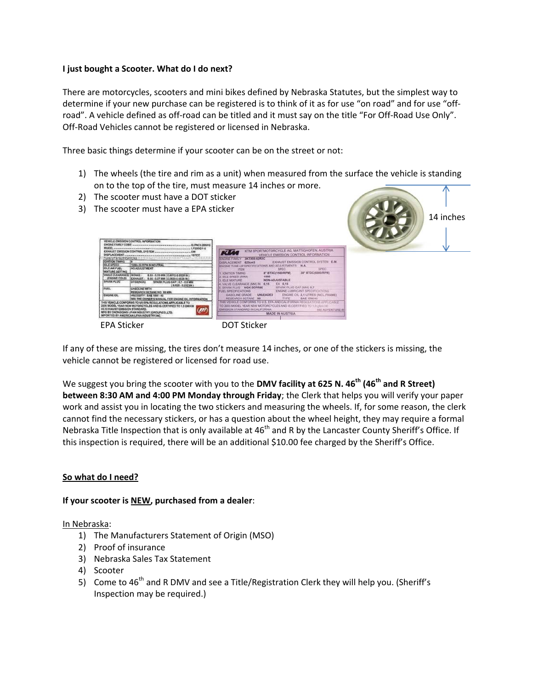#### **I just bought a Scooter. What do I do next?**

There are motorcycles, scooters and mini bikes defined by Nebraska Statutes, but the simplest way to determine if your new purchase can be registered is to think of it as for use "on road" and for use "offroad". A vehicle defined as off-road can be titled and it must say on the title "For Off-Road Use Only". Off-Road Vehicles cannot be registered or licensed in Nebraska.

Three basic things determine if your scooter can be on the street or not:

1) The wheels (the tire and rim as a unit) when measured from the surface the vehicle is standing on to the top of the tire, must measure 14 inches or more.

MADE IN AUSTRIA

- 2) The scooter must have a DOT sticker
- 3) The scooter must have a EPA sticker

**450 RPM IN NEUTRA** 



EPA Sticker DOT Sticker

If any of these are missing, the tires don't measure 14 inches, or one of the stickers is missing, the vehicle cannot be registered or licensed for road use.

**IKTXED 62RX** 

We suggest you bring the scooter with you to the DMV facility at 625 N. 46<sup>th</sup> (46<sup>th</sup> and R Street) **between 8:30 AM and 4:00 PM Monday through Friday**; the Clerk that helps you will verify your paper work and assist you in locating the two stickers and measuring the wheels. If, for some reason, the clerk cannot find the necessary stickers, or has a question about the wheel height, they may require a formal Nebraska Title Inspection that is only available at 46<sup>th</sup> and R by the Lancaster County Sheriff's Office. If this inspection is required, there will be an additional \$10.00 fee charged by the Sheriff's Office.

## **So what do I need?**

## **If your scooter is NEW, purchased from a dealer**:

#### In Nebraska:

- 1) The Manufacturers Statement of Origin (MSO)
- 2) Proof of insurance
- 3) Nebraska Sales Tax Statement
- 4) Scooter
- 5) Come to  $46^{th}$  and R DMV and see a Title/Registration Clerk they will help you. (Sheriff's Inspection may be required.)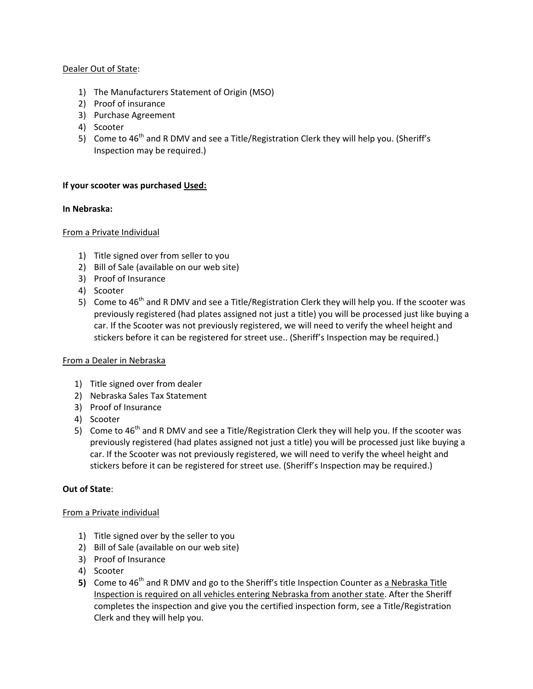## Dealer Out of State:

- 1) The Manufacturers Statement of Origin (MSO)
- 2) Proof of insurance
- 3) Purchase Agreement
- 4) Scooter
- 5) Come to  $46^{th}$  and R DMV and see a Title/Registration Clerk they will help you. (Sheriff's Inspection may be required.)

## **If your scooter was purchased Used:**

## **In Nebraska:**

## From a Private Individual

- 1) Title signed over from seller to you
- 2) Bill of Sale (available on our web site)
- 3) Proof of Insurance
- 4) Scooter
- 5) Come to  $46<sup>th</sup>$  and R DMV and see a Title/Registration Clerk they will help you. If the scooter was previously registered (had plates assigned not just a title) you will be processed just like buying a car. If the Scooter was not previously registered, we will need to verify the wheel height and stickers before it can be registered for street use.. (Sheriff's Inspection may be required.)

## From a Dealer in Nebraska

- 1) Title signed over from dealer
- 2) Nebraska Sales Tax Statement
- 3) Proof of Insurance
- 4) Scooter
- 5) Come to  $46<sup>th</sup>$  and R DMV and see a Title/Registration Clerk they will help you. If the scooter was previously registered (had plates assigned not just a title) you will be processed just like buying a car. If the Scooter was not previously registered, we will need to verify the wheel height and stickers before it can be registered for street use. (Sheriff's Inspection may be required.)

# **Out of State**:

## From a Private individual

- 1) Title signed over by the seller to you
- 2) Bill of Sale (available on our web site)
- 3) Proof of Insurance
- 4) Scooter
- 5) Come to 46<sup>th</sup> and R DMV and go to the Sheriff's title Inspection Counter as a Nebraska Title Inspection is required on all vehicles entering Nebraska from another state. After the Sheriff completes the inspection and give you the certified inspection form, see a Title/Registration Clerk and they will help you.